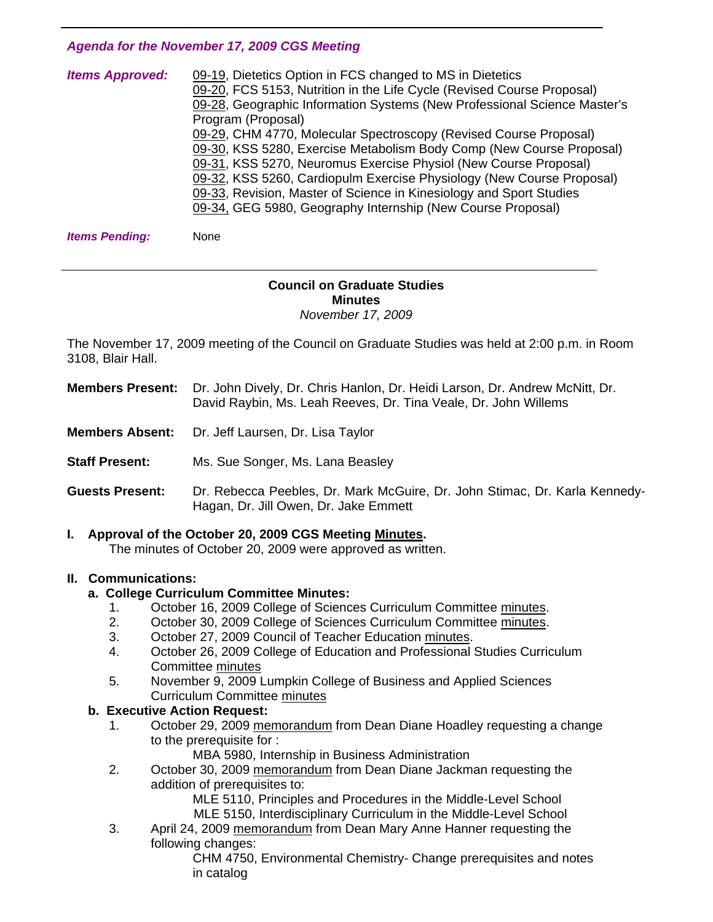#### *Agenda for the November 17, 2009 CGS Meeting*

| <b>Items Approved:</b> | 09-19, Dietetics Option in FCS changed to MS in Dietetics                |
|------------------------|--------------------------------------------------------------------------|
|                        | 09-20, FCS 5153, Nutrition in the Life Cycle (Revised Course Proposal)   |
|                        | 09-28, Geographic Information Systems (New Professional Science Master's |
|                        | Program (Proposal)                                                       |
|                        | 09-29, CHM 4770, Molecular Spectroscopy (Revised Course Proposal)        |
|                        | 09-30, KSS 5280, Exercise Metabolism Body Comp (New Course Proposal)     |
|                        | 09-31, KSS 5270, Neuromus Exercise Physiol (New Course Proposal)         |
|                        | 09-32, KSS 5260, Cardiopulm Exercise Physiology (New Course Proposal)    |
|                        | 09-33, Revision, Master of Science in Kinesiology and Sport Studies      |
|                        | 09-34, GEG 5980, Geography Internship (New Course Proposal)              |
|                        |                                                                          |

**Items Pending:** None

1

#### **Council on Graduate Studies Minutes**  *November 17, 2009*

The November 17, 2009 meeting of the Council on Graduate Studies was held at 2:00 p.m. in Room 3108, Blair Hall.

**Members Present:** Dr. John Dively, Dr. Chris Hanlon, Dr. Heidi Larson, Dr. Andrew McNitt, Dr. David Raybin, Ms. Leah Reeves, Dr. Tina Veale, Dr. John Willems

- **Members Absent:** Dr. Jeff Laursen, Dr. Lisa Taylor
- **Staff Present:** Ms. Sue Songer, Ms. Lana Beasley

**Guests Present:** Dr. Rebecca Peebles, Dr. Mark McGuire, Dr. John Stimac, Dr. Karla Kennedy-Hagan, Dr. Jill Owen, Dr. Jake Emmett

**I. Approval of the October 20, 2009 CGS Meeting [Minutes.](http://www.eiu.edu/~eiucgs/currentminutes/Minutes10-20-09.pdf)**  The minutes of October 20, 2009 were approved as written.

#### **II. Communications:**

#### **a. College Curriculum Committee Minutes:**

- 1. October 16, 2009 College of Sciences Curriculum Committe[e minutes.](http://www.eiu.edu/~eiucgs/currentagendaitems/COSMin10-16-09.pdf)
- 2. October 30, 2009 College of Sciences Curriculum Committ[ee minutes.](http://www.eiu.edu/~eiucgs/currentagendaitems/COSMin10-30-09.pdf)
- 3. October 27, 2009 Council of Teacher Educatio[n minutes.](http://www.eiu.edu/~eiucgs/currentagendaitems/COTEMin10-27-09.pdf)
- 4. October 26, 2009 College of Education and Professional Studies Curriculum Committe[e minutes](http://www.eiu.edu/~eiucgs/currentagendaitems/CEPSMin10-26-09.pdf)
- 5. November 9, 2009 Lumpkin College of Business and Applied Sciences Curriculum Committee [minutes](http://www.eiu.edu/~eiucgs/currentagendaitems/LCBASMin11-09-09.pdf)

#### **b. Executive Action Request:**

- 1. October 29, 200[9 memorandum fro](http://www.eiu.edu/~eiucgs/currentagendaitems/LCBAS-exec-act-10-29-09.pdf)m Dean Diane Hoadley requesting a change to the prerequisite for :
	- MBA 5980, Internship in Business Administration
- 2. October 30, 20[09 memorandum fro](http://www.eiu.edu/~eiucgs/currentagendaitems/CEPS-exec-act-10-30-09.pdf)m Dean Diane Jackman requesting the addition of prerequisites to:
	- MLE 5110, Principles and Procedures in the Middle-Level School
	- MLE 5150, Interdisciplinary Curriculum in the Middle-Level School
- 3. April 24, 2009 [memorandum from](http://www.eiu.edu/~eiucgs/currentagendaitems/COS-4-24-09ExecAct.pdf) Dean Mary Anne Hanner requesting the following changes:

 CHM 4750, Environmental Chemistry- Change prerequisites and notes in catalog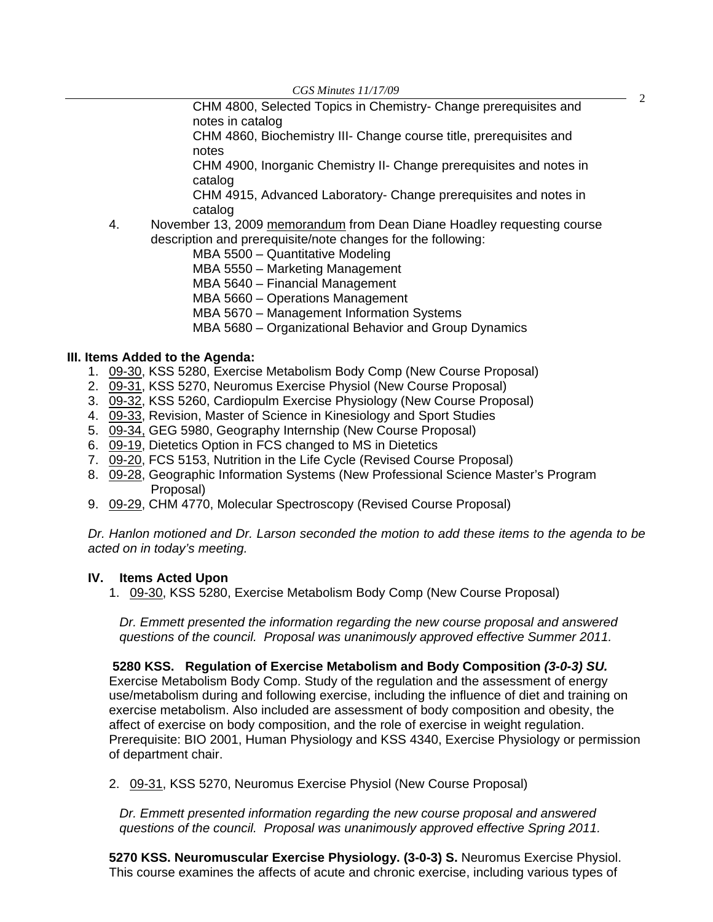*CGS Minutes 11/17/09*<br>**CHM 4800, Selected Topics in Chemistry- Change prerequisites and** 2 notes in catalog

 CHM 4860, Biochemistry III- Change course title, prerequisites and notes

 CHM 4900, Inorganic Chemistry II- Change prerequisites and notes in catalog

 CHM 4915, Advanced Laboratory- Change prerequisites and notes in catalog

4. November 13, 2009 [memorandum](http://www.eiu.edu/~eiucgs/currentagendaitems/LCBAS-exec-act-11-13-09.pdf) from Dean Diane Hoadley requesting course description and prerequisite/note changes for the following:

MBA 5500 – Quantitative Modeling

- MBA 5550 Marketing Management
- MBA 5640 Financial Management
- MBA 5660 Operations Management
- MBA 5670 Management Information Systems
- MBA 5680 Organizational Behavior and Group Dynamics

#### **III. Items Added to the Agenda:**

- 1. [09-30,](http://www.eiu.edu/~eiucgs/currentagendaitems/agenda09-30.pdf) KSS 5280, Exercise Metabolism Body Comp (New Course Proposal)
- 2. [09-31,](http://www.eiu.edu/~eiucgs/currentagendaitems/agenda09-31.pdf) KSS 5270, Neuromus Exercise Physiol (New Course Proposal)
- 3. [09-32, K](http://www.eiu.edu/~eiucgs/currentagendaitems/agenda09-32.pdf)SS 5260, Cardiopulm Exercise Physiology (New Course Proposal)
- 4. [09-33, R](http://www.eiu.edu/~eiucgs/currentagendaitems/agenda09-33.pdf)evision, Master of Science in Kinesiology and Sport Studies
- 5. [09-34, G](http://www.eiu.edu/~eiucgs/currentagendaitems/agenda09-34.pdf)EG 5980, Geography Internship (New Course Proposal)
- 6. [09-19, D](http://www.eiu.edu/~eiucgs/currentagendaitems/agenda09-19.pdf)ietetics Option in FCS changed to MS in Dietetics
- 7. [09-20, F](http://www.eiu.edu/~eiucgs/currentagendaitems/agenda09-20.pdf)CS 5153, Nutrition in the Life Cycle (Revised Course Proposal)
- 8. [09-28, G](http://www.eiu.edu/~eiucgs/currentagendaitems/agenda09-28.pdf)eographic Information Systems (New Professional Science Master's Program Proposal)
- 9. [09-29, C](http://www.eiu.edu/~eiucgs/currentagendaitems/agenda09-29.pdf)HM 4770, Molecular Spectroscopy (Revised Course Proposal)

*Dr. Hanlon motioned and Dr. Larson seconded the motion to add these items to the agenda to be acted on in today's meeting.* 

#### **IV. Items Acted Upon**

1. [09-30, K](http://www.eiu.edu/~eiucgs/currentagendaitems/agenda09-30.pdf)SS 5280, Exercise Metabolism Body Comp (New Course Proposal)

 *Dr. Emmett presented the information regarding the new course proposal and answered questions of the council. Proposal was unanimously approved effective Summer 2011.* 

**5280 KSS. Regulation of Exercise Metabolism and Body Composition** *(3-0-3) SU.* 

Exercise Metabolism Body Comp. Study of the regulation and the assessment of energy use/metabolism during and following exercise, including the influence of diet and training on exercise metabolism. Also included are assessment of body composition and obesity, the affect of exercise on body composition, and the role of exercise in weight regulation. Prerequisite: BIO 2001, Human Physiology and KSS 4340, Exercise Physiology or permission of department chair.

2[. 09-31, K](http://www.eiu.edu/~eiucgs/currentagendaitems/agenda09-31.pdf)SS 5270, Neuromus Exercise Physiol (New Course Proposal)

*Dr. Emmett presented information regarding the new course proposal and answered questions of the council. Proposal was unanimously approved effective Spring 2011.* 

**5270 KSS. Neuromuscular Exercise Physiology. (3-0-3) S.** Neuromus Exercise Physiol. This course examines the affects of acute and chronic exercise, including various types of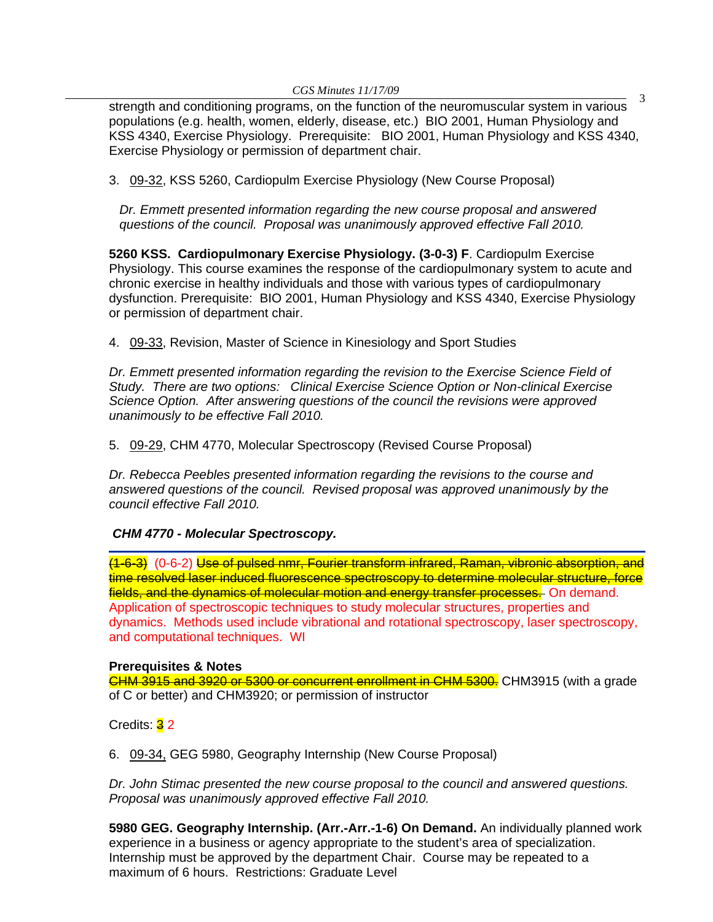*CGS Minutes 11/17/09*<br>strength and conditioning programs, on the function of the neuromuscular system in various populations (e.g. health, women, elderly, disease, etc.) BIO 2001, Human Physiology and KSS 4340, Exercise Physiology. Prerequisite: BIO 2001, Human Physiology and KSS 4340, Exercise Physiology or permission of department chair.

3. [09-32, K](http://www.eiu.edu/~eiucgs/currentagendaitems/agenda09-32.pdf)SS 5260, Cardiopulm Exercise Physiology (New Course Proposal)

 *Dr. Emmett presented information regarding the new course proposal and answered questions of the council. Proposal was unanimously approved effective Fall 2010.* 

**5260 KSS. Cardiopulmonary Exercise Physiology. (3-0-3) F**. Cardiopulm Exercise Physiology. This course examines the response of the cardiopulmonary system to acute and chronic exercise in healthy individuals and those with various types of cardiopulmonary dysfunction. Prerequisite: BIO 2001, Human Physiology and KSS 4340, Exercise Physiology or permission of department chair.

4. [09-33,](http://www.eiu.edu/~eiucgs/currentagendaitems/agenda09-33.pdf) Revision, Master of Science in Kinesiology and Sport Studies

*Dr. Emmett presented information regarding the revision to the Exercise Science Field of Study. There are two options: Clinical Exercise Science Option or Non-clinical Exercise Science Option. After answering questions of the council the revisions were approved unanimously to be effective Fall 2010.* 

5. [09-29, C](http://www.eiu.edu/~eiucgs/currentagendaitems/agenda09-29.pdf)HM 4770, Molecular Spectroscopy (Revised Course Proposal)

*Dr. Rebecca Peebles presented information regarding the revisions to the course and answered questions of the council. Revised proposal was approved unanimously by the council effective Fall 2010.* 

#### *CHM 4770 - Molecular Spectroscopy.*

(1-6-3) (0-6-2) Use of pulsed nmr, Fourier transform infrared, Raman, vibronic absorption, and time resolved laser induced fluorescence spectroscopy to determine molecular structure, force fields, and the dynamics of molecular motion and energy transfer processes. On demand. Application of spectroscopic techniques to study molecular structures, properties and dynamics. Methods used include vibrational and rotational spectroscopy, laser spectroscopy, and computational techniques. WI

#### **Prerequisites & Notes**

CHM 3915 and 3920 or 5300 or concurrent enrollment in CHM 5300. CHM3915 (with a grade of C or better) and CHM3920; or permission of instructor

Credits: 32

6. [09-34,](http://www.eiu.edu/~eiucgs/currentagendaitems/agenda09-34.pdf) GEG 5980, Geography Internship (New Course Proposal)

*Dr. John Stimac presented the new course proposal to the council and answered questions. Proposal was unanimously approved effective Fall 2010.* 

**5980 GEG. Geography Internship. (Arr.-Arr.-1-6) On Demand.** An individually planned work experience in a business or agency appropriate to the student's area of specialization. Internship must be approved by the department Chair. Course may be repeated to a maximum of 6 hours. Restrictions: Graduate Level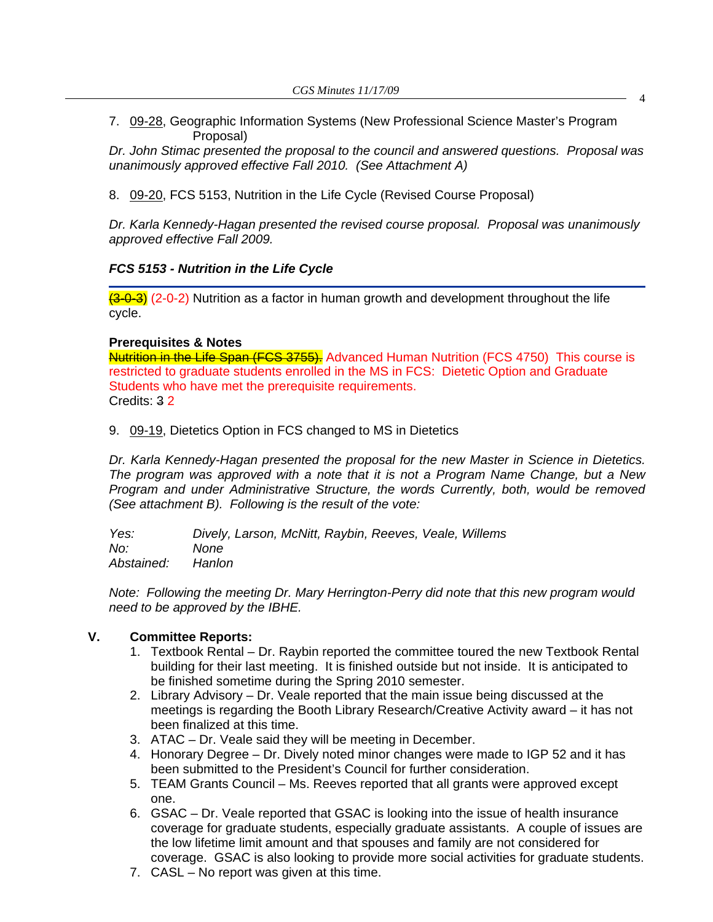7. [09-28, G](http://www.eiu.edu/~eiucgs/currentagendaitems/agenda09-28.pdf)eographic Information Systems (New Professional Science Master's Program Proposal)

*Dr. John Stimac presented the proposal to the council and answered questions. Proposal was unanimously approved effective Fall 2010. (See Attachment A)* 

8. [09-20, F](http://www.eiu.edu/~eiucgs/currentagendaitems/agenda09-20.pdf)CS 5153, Nutrition in the Life Cycle (Revised Course Proposal)

*Dr. Karla Kennedy-Hagan presented the revised course proposal. Proposal was unanimously approved effective Fall 2009.* 

#### *FCS 5153 - Nutrition in the Life Cycle*

 $(3-0-3)$  (2-0-2) Nutrition as a factor in human growth and development throughout the life cycle.

#### **Prerequisites & Notes**

Nutrition in the Life Span (FCS 3755). Advanced Human Nutrition (FCS 4750) This course is restricted to graduate students enrolled in the MS in FCS: Dietetic Option and Graduate Students who have met the prerequisite requirements. Credits: 3 2

9. [09-19,](http://www.eiu.edu/~eiucgs/currentagendaitems/agenda09-19.pdf) Dietetics Option in FCS changed to MS in Dietetics

*Dr. Karla Kennedy-Hagan presented the proposal for the new Master in Science in Dietetics. The program was approved with a note that it is not a Program Name Change, but a New Program and under Administrative Structure, the words Currently, both, would be removed (See attachment B). Following is the result of the vote:* 

*Yes: Dively, Larson, McNitt, Raybin, Reeves, Veale, Willems No: None Abstained: Hanlon* 

*Note: Following the meeting Dr. Mary Herrington-Perry did note that this new program would need to be approved by the IBHE.* 

#### **V. Committee Reports:**

- 1. Textbook Rental Dr. Raybin reported the committee toured the new Textbook Rental building for their last meeting. It is finished outside but not inside. It is anticipated to be finished sometime during the Spring 2010 semester.
- 2. Library Advisory Dr. Veale reported that the main issue being discussed at the meetings is regarding the Booth Library Research/Creative Activity award – it has not been finalized at this time.
- 3. ATAC Dr. Veale said they will be meeting in December.
- 4. Honorary Degree Dr. Dively noted minor changes were made to IGP 52 and it has been submitted to the President's Council for further consideration.
- 5. TEAM Grants Council Ms. Reeves reported that all grants were approved except one.
- 6. GSAC Dr. Veale reported that GSAC is looking into the issue of health insurance coverage for graduate students, especially graduate assistants. A couple of issues are the low lifetime limit amount and that spouses and family are not considered for coverage. GSAC is also looking to provide more social activities for graduate students.
- 7. CASL No report was given at this time.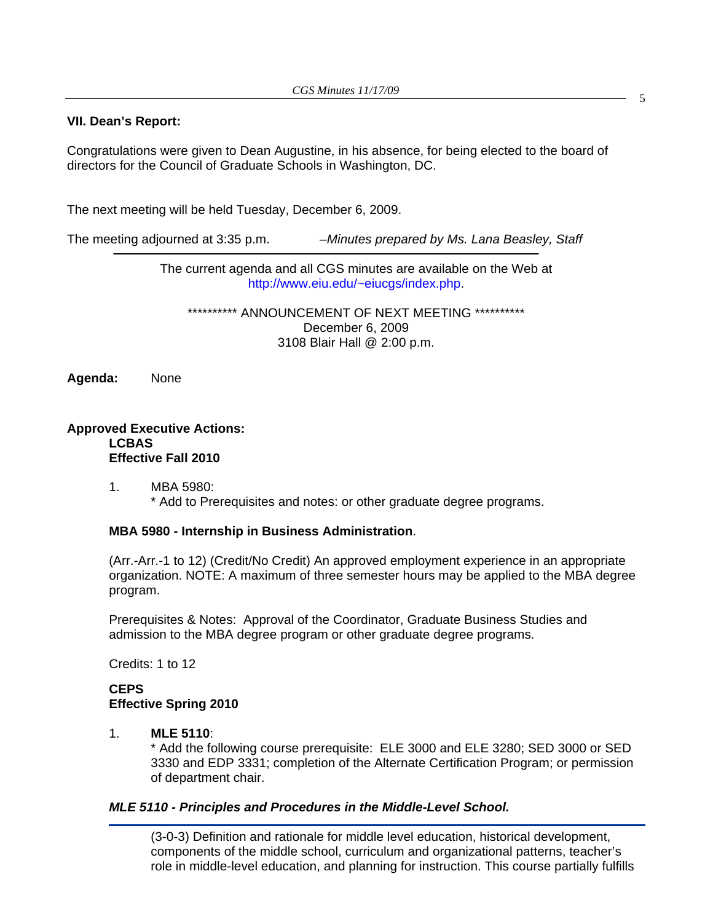#### **VII. Dean's Report:**

Congratulations were given to Dean Augustine, in his absence, for being elected to the board of directors for the Council of Graduate Schools in Washington, DC.

The next meeting will be held Tuesday, December 6, 2009.

The meeting adjourned at 3:35 p.m. *–Minutes prepared by Ms. Lana Beasley, Staff* 

The current agenda and all CGS minutes are available on the Web at http://www.eiu.edu/~eiucgs/index.php.

\*\*\*\*\*\*\*\*\*\* ANNOUNCEMENT OF NEXT MEETING \*\*\*\*\*\*\*\*\*\* December 6, 2009 3108 Blair Hall @ 2:00 p.m.

**Agenda:** None

#### **Approved Executive Actions: LCBAS Effective Fall 2010**

 1. MBA 5980: \* Add to Prerequisites and notes: or other graduate degree programs.

#### **MBA 5980 - Internship in Business Administration**.

(Arr.-Arr.-1 to 12) (Credit/No Credit) An approved employment experience in an appropriate organization. NOTE: A maximum of three semester hours may be applied to the MBA degree program.

Prerequisites & Notes: Approval of the Coordinator, Graduate Business Studies and admission to the MBA degree program or other graduate degree programs.

Credits: 1 to 12

#### **CEPS Effective Spring 2010**

#### 1. **MLE 5110**:

\* Add the following course prerequisite: ELE 3000 and ELE 3280; SED 3000 or SED 3330 and EDP 3331; completion of the Alternate Certification Program; or permission of department chair.

#### *MLE 5110 - Principles and Procedures in the Middle-Level School.*

(3-0-3) Definition and rationale for middle level education, historical development, components of the middle school, curriculum and organizational patterns, teacher's role in middle-level education, and planning for instruction. This course partially fulfills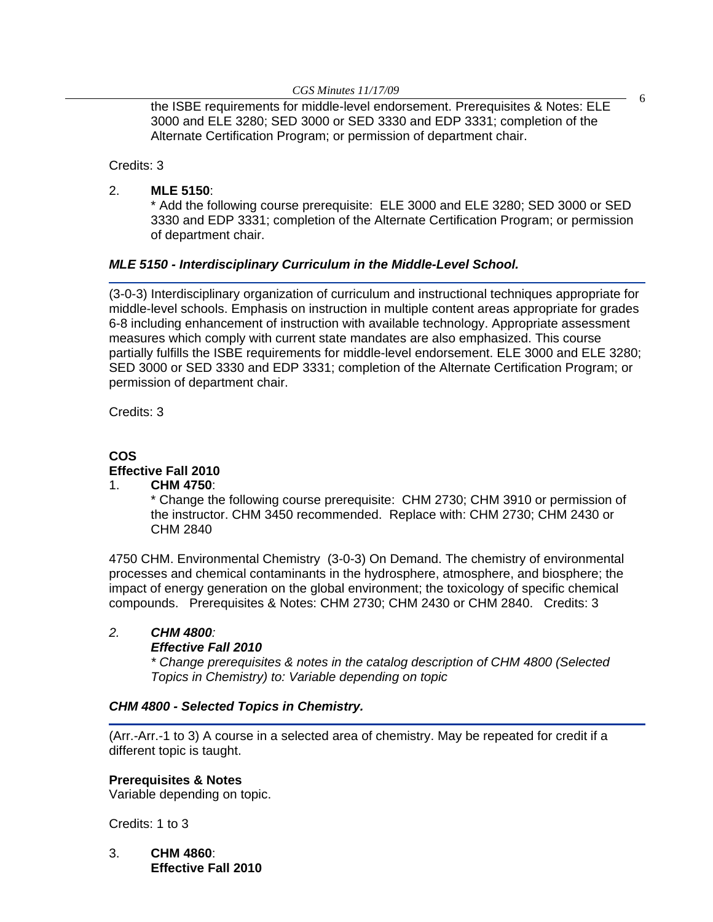*CGS Minutes 11/17/09* <sup>6</sup> the ISBE requirements for middle-level endorsement. Prerequisites & Notes: ELE 3000 and ELE 3280; SED 3000 or SED 3330 and EDP 3331; completion of the Alternate Certification Program; or permission of department chair.

Credits: 3

2. **MLE 5150**:

 \* Add the following course prerequisite: ELE 3000 and ELE 3280; SED 3000 or SED 3330 and EDP 3331; completion of the Alternate Certification Program; or permission of department chair.

#### *MLE 5150 - Interdisciplinary Curriculum in the Middle-Level School.*

(3-0-3) Interdisciplinary organization of curriculum and instructional techniques appropriate for middle-level schools. Emphasis on instruction in multiple content areas appropriate for grades 6-8 including enhancement of instruction with available technology. Appropriate assessment measures which comply with current state mandates are also emphasized. This course partially fulfills the ISBE requirements for middle-level endorsement. ELE 3000 and ELE 3280; SED 3000 or SED 3330 and EDP 3331; completion of the Alternate Certification Program; or permission of department chair.

Credits: 3

## **COS Effective Fall 2010**

#### 1. **CHM 4750**:

\* Change the following course prerequisite: CHM 2730; CHM 3910 or permission of the instructor. CHM 3450 recommended. Replace with: CHM 2730; CHM 2430 or CHM 2840

4750 CHM. Environmental Chemistry (3-0-3) On Demand. The chemistry of environmental processes and chemical contaminants in the hydrosphere, atmosphere, and biosphere; the impact of energy generation on the global environment; the toxicology of specific chemical compounds. Prerequisites & Notes: CHM 2730; CHM 2430 or CHM 2840. Credits: 3

### *2. CHM 4800:*

#### *Effective Fall 2010*

 *\* Change prerequisites & notes in the catalog description of CHM 4800 (Selected Topics in Chemistry) to: Variable depending on topic* 

#### *CHM 4800 - Selected Topics in Chemistry.*

(Arr.-Arr.-1 to 3) A course in a selected area of chemistry. May be repeated for credit if a different topic is taught.

#### **Prerequisites & Notes**

Variable depending on topic.

Credits: 1 to 3

3. **CHM 4860**:  **Effective Fall 2010**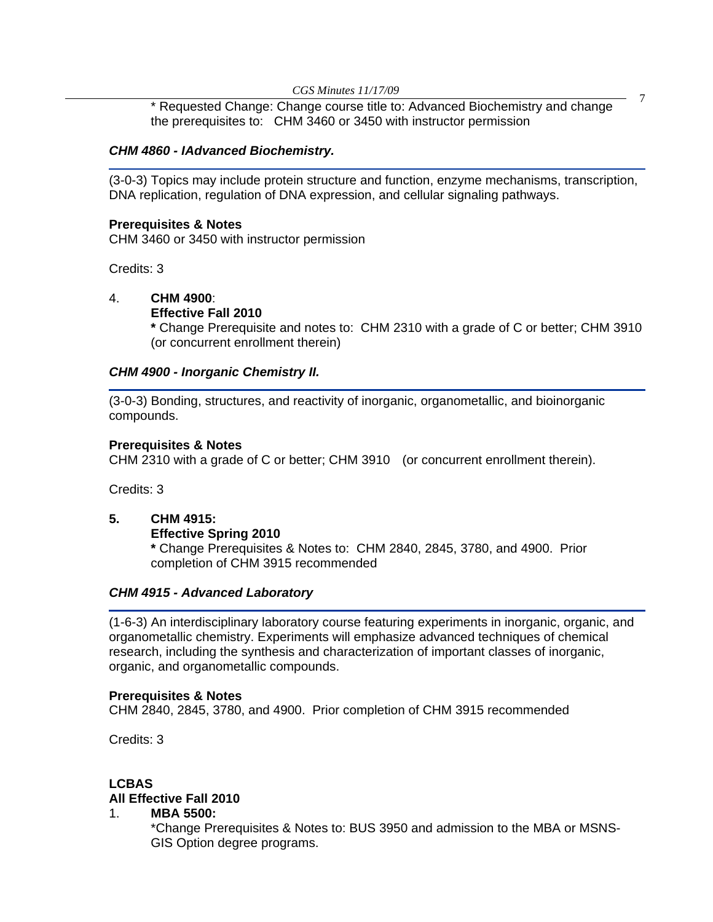*CGS Minutes 11/17/09* 7 \* Requested Change: Change course title to: Advanced Biochemistry and change the prerequisites to: CHM 3460 or 3450 with instructor permission

#### *CHM 4860 - IAdvanced Biochemistry.*

(3-0-3) Topics may include protein structure and function, enzyme mechanisms, transcription, DNA replication, regulation of DNA expression, and cellular signaling pathways.

#### **Prerequisites & Notes**

CHM 3460 or 3450 with instructor permission

Credits: 3

#### 4. **CHM 4900**:

#### **Effective Fall 2010**

 **\*** Change Prerequisite and notes to: CHM 2310 with a grade of C or better; CHM 3910 (or concurrent enrollment therein)

#### *CHM 4900 - Inorganic Chemistry II.*

(3-0-3) Bonding, structures, and reactivity of inorganic, organometallic, and bioinorganic compounds.

#### **Prerequisites & Notes**

CHM 2310 with a grade of C or better; CHM 3910 (or concurrent enrollment therein).

Credits: 3

#### **5. CHM 4915:**

#### **Effective Spring 2010**

 **\*** Change Prerequisites & Notes to:CHM 2840, 2845, 3780, and 4900. Prior completion of CHM 3915 recommended

#### *CHM 4915 - Advanced Laboratory*

(1-6-3) An interdisciplinary laboratory course featuring experiments in inorganic, organic, and organometallic chemistry. Experiments will emphasize advanced techniques of chemical research, including the synthesis and characterization of important classes of inorganic, organic, and organometallic compounds.

#### **Prerequisites & Notes**

CHM 2840, 2845, 3780, and 4900. Prior completion of CHM 3915 recommended

Credits: 3

#### **LCBAS All Effective Fall 2010**

#### 1. **MBA 5500:**

 \*Change Prerequisites & Notes to: BUS 3950 and admission to the MBA or MSNS- GIS Option degree programs.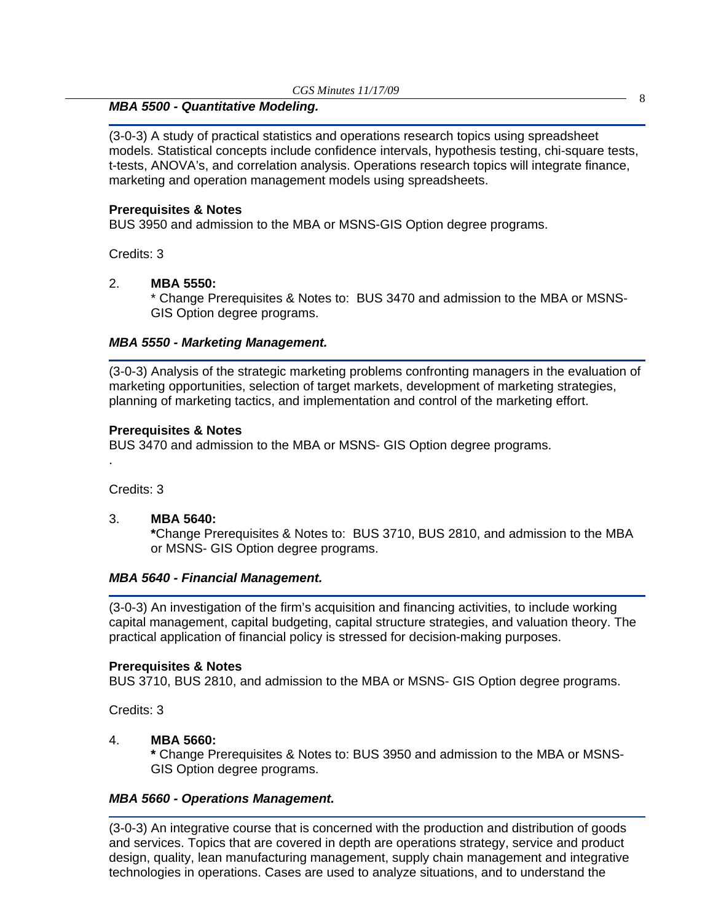# *CGS Minutes 11/17/09* <sup>8</sup> *MBA 5500 - Quantitative Modeling.*

(3-0-3) A study of practical statistics and operations research topics using spreadsheet models. Statistical concepts include confidence intervals, hypothesis testing, chi-square tests, t-tests, ANOVA's, and correlation analysis. Operations research topics will integrate finance, marketing and operation management models using spreadsheets.

#### **Prerequisites & Notes**

BUS 3950 and admission to the MBA or MSNS-GIS Option degree programs.

Credits: 3

#### 2. **MBA 5550:**

\* Change Prerequisites & Notes to: BUS 3470 and admission to the MBA or MSNS- GIS Option degree programs.

#### *MBA 5550 - Marketing Management.*

(3-0-3) Analysis of the strategic marketing problems confronting managers in the evaluation of marketing opportunities, selection of target markets, development of marketing strategies, planning of marketing tactics, and implementation and control of the marketing effort.

#### **Prerequisites & Notes**

BUS 3470 and admission to the MBA or MSNS- GIS Option degree programs.

Credits: 3

.

3. **MBA 5640:** 

 **\***Change Prerequisites & Notes to: BUS 3710, BUS 2810, and admission to the MBA or MSNS- GIS Option degree programs.

#### *MBA 5640 - Financial Management.*

(3-0-3) An investigation of the firm's acquisition and financing activities, to include working capital management, capital budgeting, capital structure strategies, and valuation theory. The practical application of financial policy is stressed for decision-making purposes.

#### **Prerequisites & Notes**

BUS 3710, BUS 2810, and admission to the MBA or MSNS- GIS Option degree programs.

Credits: 3

#### 4. **MBA 5660:**

 **\*** Change Prerequisites & Notes to: BUS 3950 and admission to the MBA or MSNS- GIS Option degree programs.

#### *MBA 5660 - Operations Management.*

(3-0-3) An integrative course that is concerned with the production and distribution of goods and services. Topics that are covered in depth are operations strategy, service and product design, quality, lean manufacturing management, supply chain management and integrative technologies in operations. Cases are used to analyze situations, and to understand the